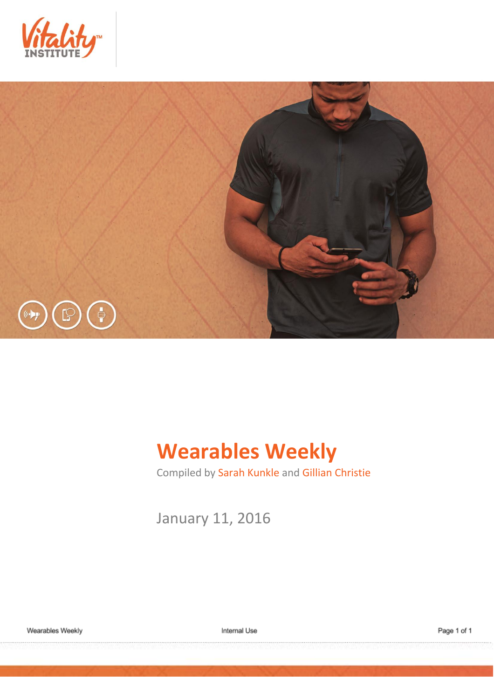



# **Wearables Weekly**

Compiled by Sarah Kunkle and Gillian Christie

January 11, 2016

Internal Use

Page 1 of 1